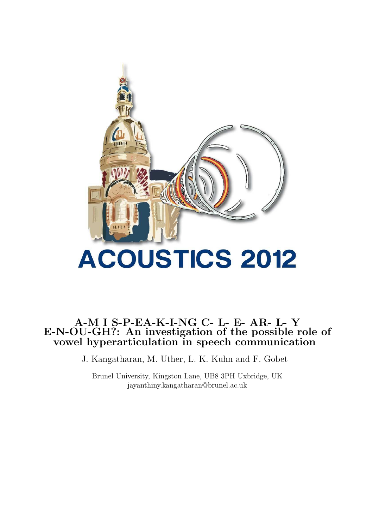

# A-M I S-P-EA-K-I-NG C- L- E- AR- L- Y E-N-OU-GH?: An investigation of the possible role of vowel hyperarticulation in speech communication

J. Kangatharan, M. Uther, L. K. Kuhn and F. Gobet

Brunel University, Kingston Lane, UB8 3PH Uxbridge, UK jayanthiny.kangatharan@brunel.ac.uk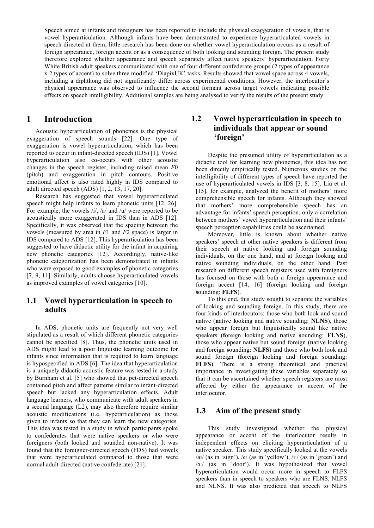Speech aimed at infants and foreigners has been reported to include the physical exaggeration of vowels, that is vowel hyperarticulation. Although infants have been demonstrated to experience hyperarticulated vowels in speech directed at them, little research has been done on whether vowel hyperarticulation occurs as a result of foreign appearance, foreign accent or as a consequence of both looking and sounding foreign. The present study therefore explored whether appearance and speech separately affect native speakers' hyperarticulation. Forty White British adult speakers communicated with one of four different confederate groups (2 types of appearance x 2 types of accent) to solve three modified 'DiapixUK' tasks. Results showed that vowel space across 4 vowels, including a diphthong did not significantly differ across experimental conditions. However, the interlocutor's physical appearance was observed to influence the second formant across target vowels indicating possible effects on speech intelligibility. Additional samples are being analysed to verify the results of the present study.

#### **1 Introduction**

Acoustic hyperarticulation of phonemes is the physical exaggeration of speech sounds [22]. One type of exaggeration is vowel hyperarticulation, which has been reported to occur in infant-directed speech (IDS) [1]. Vowel hyperarticulation also co-occurs with other acoustic changes in the speech register, including raised mean *F*0 (pitch) and exaggeration in pitch contours. Positive emotional affect is also rated highly in IDS compared to adult directed speech (ADS) [1, 2, 13, 17, 20].

Research has suggested that vowel hyperarticulated speech might help infants to learn phonetic units [12, 26]. For example, the vowels /i/, /a/ and /u/ were reported to be acoustically more exaggerated in IDS than in ADS [12]. Specifically, it was observed that the spacing between the vowels (measured by area in *F*1 and *F*2 space) is larger in IDS compared to ADS [12]. This hyperarticulation has been suggested to have didactic utility for the infant in acquiring new phonetic categories [12]. Accordingly, native-like phonetic categorization has been demonstrated in infants who were exposed to good examples of phonetic categories [7, 9, 11]. Similarly, adults choose hyperarticulated vowels as improved examples of vowel categories [10].

### **1.1 Vowel hyperarticulation in speech to adults**

In ADS, phonetic units are frequently not very well stipulated as a result of which different phonetic categories cannot be specified [8]. Thus, the phonetic units used in ADS might lead to a poor linguistic learning outcome for infants since information that is required to learn language is hypospecified in ADS [6]. The idea that hyperarticulation is a uniquely didactic acoustic feature was tested in a study by Burnham et al. [5] who showed that pet-directed speech contained pitch and affect patterns similar to infant-directed speech but lacked any hyperarticulation effects. Adult language learners, who communicate with adult speakers in a second language (L2), may also therefore require similar acoustic modifications (i.e. hyperarticulation) as those given to infants so that they can learn the new categories. This idea was tested in a study in which participants spoke to confederates that were native speakers or who were foreigners (both looked and sounded non-native). It was found that the foreigner-directed speech (FDS) had vowels that were hyperarticulated compared to those that were normal adult-directed (native confederate) [21].

### **1.2 Vowel hyperarticulation in speech to individuals that appear or sound 'foreign'**

Despite the presumed utility of hyperarticulation as a didactic tool for learning new phonemes, this idea has not been directly empirically tested. Numerous studies on the intelligibility of different types of speech have reported the use of hyperarticulated vowels in IDS [3, 8, 15]. Liu et al. [15], for example, analyzed the benefit of mothers' more comprehensible speech for infants. Although they showed that mothers' more comprehensible speech has an advantage for infants' speech perception, only a correlation between mothers' vowel hyperarticulation and their infants' speech perception capabilities could be ascertained.

Moreover, little is known about whether native speakers' speech at other native speakers is different from their speech at native looking and foreign sounding individuals, on the one hand, and at foreign looking and native sounding individuals, on the other hand. Past research on different speech registers used with foreigners has focused on those with both a foreign appearance and foreign accent [14, 16] (**f**oreign **l**ooking and **f**oreign **s**ounding: **FLFS**).

To this end, this study sought to separate the variables of looking and sounding foreign. In this study, there are four kinds of interlocutors: those who both look and sound native (**n**ative **l**ooking and **n**ative **s**ounding: **NLNS**), those who appear foreign but linguistically sound like native speakers (**f**oreign **l**ooking and **n**ative **s**ounding: **FLNS**), those who appear native but sound foreign (**n**ative **l**ooking and **f**oreign **s**ounding: **NLFS**) and those who both look and sound foreign (**f**oreign **l**ooking and **f**oreign **s**ounding: **FLFS**). There is a strong theoretical and practical importance in investigating these variables separately so that it can be ascertained whether speech registers are most affected by either the appearance or accent of the interlocutor.

### **1.3 Aim of the present study**

This study investigated whether the physical appearance or accent of the interlocutor results in independent effects on eliciting hyperarticulation of a native speaker. This study specifically looked at the vowels /ai/ (as in 'sign'), /e/ (as in 'yellow'), /iː/ (as in 'green') and /ɔː/ (as in 'door'). It was hypothesized that vowel hyperarticulation would occur more in speech to FLFS speakers than in speech to speakers who are FLNS, NLFS and NLNS. It was also predicted that speech to NLFS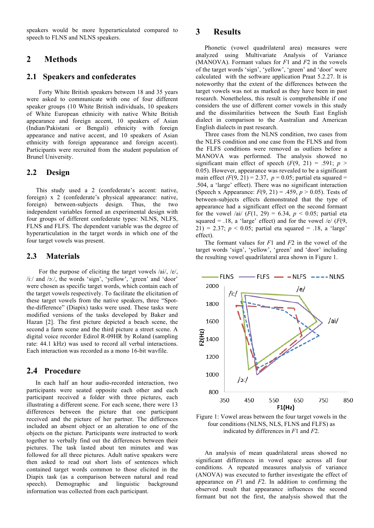speakers would be more hyperarticulated compared to speech to FLNS and NLNS speakers.

### **2 Methods**

#### **2.1 Speakers and confederates**

Forty White British speakers between 18 and 35 years were asked to communicate with one of four different speaker groups (10 White British individuals, 10 speakers of White European ethnicity with native White British appearance and foreign accent, 10 speakers of Asian (Indian/Pakistani or Bengali) ethnicity with foreign appearance and native accent, and 10 speakers of Asian ethnicity with foreign appearance and foreign accent). Participants were recruited from the student population of Brunel University.

#### **2.2 Design**

 This study used a 2 (confederate's accent: native, foreign) x 2 (confederate's physical appearance: native, foreign) between-subjects design. Thus, the two independent variables formed an experimental design with four groups of different confederate types: NLNS, NLFS, FLNS and FLFS. The dependent variable was the degree of hyperarticulation in the target words in which one of the four target vowels was present.

#### **2.3 Materials**

For the purpose of eliciting the target vowels /ai/, /e/, /iː/ and /ɔː/, the words 'sign', 'yellow', 'green' and 'door' were chosen as specific target words, which contain each of the target vowels respectively. To facilitate the elicitation of these target vowels from the native speakers, three "Spotthe-difference" (Diapix) tasks were used. These tasks were modified versions of the tasks developed by Baker and Hazan [2]. The first picture depicted a beach scene, the second a farm scene and the third picture a street scene. A digital voice recorder Edirol R-09HR by Roland (sampling rate: 44.1 kHz) was used to record all verbal interactions. Each interaction was recorded as a mono 16-bit wavfile.

### **2.4 Procedure**

In each half an hour audio-recorded interaction, two participants were seated opposite each other and each participant received a folder with three pictures, each illustrating a different scene. For each scene, there were 13 differences between the picture that one participant received and the picture of her partner. The differences included an absent object or an alteration to one of the objects on the picture. Participants were instructed to work together to verbally find out the differences between their pictures. The task lasted about ten minutes and was followed for all three pictures. Adult native speakers were then asked to read out short lists of sentences which contained target words common to those elicited in the Diapix task (as a comparison between natural and read speech). Demographic and linguistic background information was collected from each participant.

### **3 Results**

Phonetic (vowel quadrilateral area) measures were analyzed using Multivariate Analysis of Variance (MANOVA). Formant values for *F*1 and *F*2 in the vowels of the target words 'sign', 'yellow', 'green' and 'door' were calculated with the software application Praat 5.2.27. It is noteworthy that the extent of the differences between the target vowels was not as marked as they have been in past research. Nonetheless, this result is comprehensible if one considers the use of different corner vowels in this study and the dissimilarities between the South East English dialect in comparison to the Australian and American English dialects in past research.

Three cases from the NLNS condition, two cases from the NLFS condition and one case from the FLNS and from the FLFS conditions were removed as outliers before a MANOVA was performed. The analysis showed no significant main effect of speech  $(F(9, 21) = .591; p >$ 0.05). However, appearance was revealed to be a significant main effect  $(F(9, 21) = 2.37, p = 0.05$ ; partial eta squared = .504, a 'large' effect). There was no significant interaction (Speech x Appearance:  $F(9, 21) = .459$ ,  $p > 0.05$ ). Tests of between-subjects effects demonstrated that the type of appearance had a significant effect on the second formant for the vowel /ai/  $(F(1, 29) = 6.34, p < 0.05$ ; partial eta squared = .18, a 'large' effect) and for the vowel /e/  $(F(9,$ 21) = 2.37;  $p < 0.05$ ; partial eta squared = .18, a 'large' effect).

The formant values for *F*1 and *F*2 in the vowel of the target words 'sign', 'yellow', 'green' and 'door' including the resulting vowel quadrilateral area shown in Figure 1.



Figure 1: Vowel areas between the four target vowels in the four conditions (NLNS, NLS, FLNS and FLFS) as indicated by differences in *F*1 and *F*2.

An analysis of mean quadrilateral areas showed no significant differences in vowel space across all four conditions. A repeated measures analysis of variance (ANOVA) was executed to further investigate the effect of appearance on *F*1 and *F*2. In addition to confirming the observed result that appearance influences the second formant but not the first, the analysis showed that the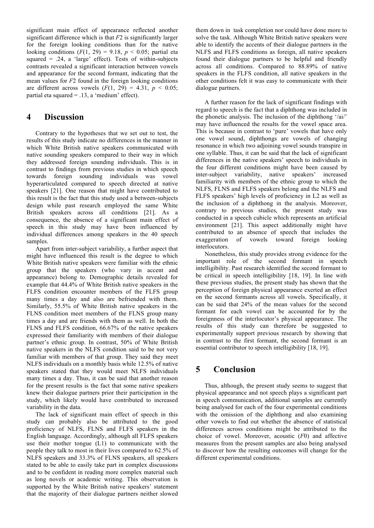significant main effect of appearance reflected another significant difference which is that *F*2 is significantly larger for the foreign looking conditions than for the native looking conditions  $(F(1, 29) = 9.18, p < 0.05$ ; partial eta squared =  $.24$ , a 'large' effect). Tests of within-subjects contrasts revealed a significant interaction between vowels and appearance for the second formant, indicating that the mean values for *F*2 found in the foreign looking conditions are different across vowels  $(F(1, 29) = 4.31, p \le 0.05)$ ; partial eta squared = .13, a 'medium' effect).

### **4 Discussion**

Contrary to the hypotheses that we set out to test, the results of this study indicate no differences in the manner in which White British native speakers communicated with native sounding speakers compared to their way in which they addressed foreign sounding individuals. This is in contrast to findings from previous studies in which speech towards foreign sounding individuals was vowel hyperarticulated compared to speech directed at native speakers [21]. One reason that might have contributed to this result is the fact that this study used a between-subjects design while past research employed the same White British speakers across all conditions [21]. As a consequence, the absence of a significant main effect of speech in this study may have been influenced by individual differences among speakers in the 40 speech samples.

Apart from inter-subject variability, a further aspect that might have influenced this result is the degree to which White British native speakers were familiar with the ethnic group that the speakers (who vary in accent and appearance) belong to. Demographic details revealed for example that 44.4% of White British native speakers in the FLFS condition encounter members of the FLFS group many times a day and also are befriended with them. Similarly, 55.5% of White British native speakers in the FLNS condition meet members of the FLNS group many times a day and are friends with them as well. In both the FLNS and FLFS condition, 66.67% of the native speakers expressed their familiarity with members of their dialogue partner's ethnic group. In contrast, 50% of White British native speakers in the NLFS condition said to be not very familiar with members of that group. They said they meet NLFS individuals on a monthly basis while 12.5% of native speakers stated that they would meet NLFS individuals many times a day. Thus, it can be said that another reason for the present results is the fact that some native speakers knew their dialogue partners prior their participation in the study, which likely would have contributed to increased variability in the data.

The lack of significant main effect of speech in this study can probably also be attributed to the good proficiency of NLFS, FLNS and FLFS speakers in the English language. Accordingly, although all FLFS speakers use their mother tongue (L1) to communicate with the people they talk to most in their lives compared to 62.5% of NLFS speakers and 33.3% of FLNS speakers, all speakers stated to be able to easily take part in complex discussions and to be confident in reading more complex material such as long novels or academic writing. This observation is supported by the White British native speakers' statement that the majority of their dialogue partners neither slowed

them down in task completion nor could have done more to solve the task. Although White British native speakers were able to identify the accents of their dialogue partners in the NLFS and FLFS conditions as foreign, all native speakers found their dialogue partners to be helpful and friendly across all conditions. Compared to 88.89% of native speakers in the FLFS condition, all native speakers in the other conditions felt it was easy to communicate with their dialogue partners.

A further reason for the lack of significant findings with regard to speech is the fact that a diphthong was included in the phonetic analysis. The inclusion of the diphthong '/ai/' may have influenced the results for the vowel space area. This is because in contrast to 'pure' vowels that have only one vowel sound, diphthongs are vowels of changing resonance in which two adjoining vowel sounds transpire in one syllable. Thus, it can be said that the lack of significant differences in the native speakers' speech to individuals in the four different conditions might have been caused by inter-subject variability, native speakers' increased familiarity with members of the ethnic group to which the NLFS, FLNS and FLFS speakers belong and the NLFS and FLFS speakers' high levels of proficiency in L2 as well as the inclusion of a diphthong in the analysis. Moreover, contrary to previous studies, the present study was conducted in a speech cubicle which represents an artificial environment [21]. This aspect additionally might have contributed to an absence of speech that includes the exaggeration of vowels toward foreign looking interlocutors.

Nonetheless, this study provides strong evidence for the important role of the second formant in speech intelligibility. Past research identified the second formant to be critical in speech intelligibility [18, 19]. In line with these previous studies, the present study has shown that the perception of foreign physical appearance exerted an effect on the second formants across all vowels. Specifically, it can be said that 24% of the mean values for the second formant for each vowel can be accounted for by the foreignness of the interlocutor's physical appearance. The results of this study can therefore be suggested to experimentally support previous research by showing that in contrast to the first formant, the second formant is an essential contributor to speech intelligibility [18, 19].

# **5 Conclusion**

Thus, although, the present study seems to suggest that physical appearance and not speech plays a significant part in speech communication, additional samples are currently being analysed for each of the four experimental conditions with the omission of the diphthong and also examining other vowels to find out whether the absence of statistical differences across conditions might be attributed to the choice of vowel. Moreover, acoustic (*F*0) and affective measures from the present samples are also being analysed to discover how the resulting outcomes will change for the different experimental conditions.